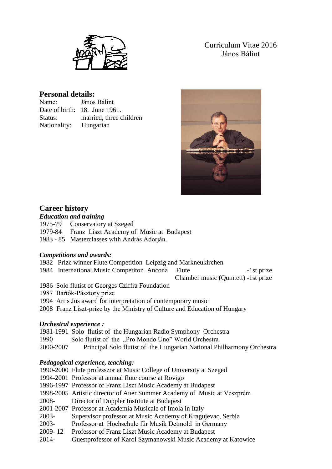

Curriculum Vitae 2016 János Bálint

# **Personal details:**

| Name:                  | János Bálint                  |  |  |
|------------------------|-------------------------------|--|--|
|                        | Date of birth: 18. June 1961. |  |  |
| Status:                | married, three children       |  |  |
| Nationality: Hungarian |                               |  |  |



# **Career history**

### *Education and training*

1975-79 Conservatory at Szeged

1979-84 Franz Liszt Academy of Music at Budapest

1983 - 85 Masterclasses with András Adorján.

## *Competitions and awards:*

- 1982 Prize winner Flute Competition Leipzig and Markneukirchen
- 1984 International Music Competiton Ancona Flute -1st prize

Chamber music (Quintett) -1st prize

- 1986 Solo flutist of Georges Cziffra Foundation
- 1987 Bartók-Pásztory prize
- 1994 Artis Jus award for interpretation of contemporary music
- 2008 Franz Liszt-prize by the Ministry of Culture and Education of Hungary

## *Orchestral experience :*

- 1981-1991 Solo flutist of the Hungarian Radio Symphony Orchestra
- 1990 Solo flutist of the "Pro Mondo Uno" World Orchestra
- 2000-2007 Principal Solo flutist of the Hungarian National Philharmony Orchestra

## *Pedagogical experience, teaching:*

|             | 1990-2000 Flute professzor at Music College of University at Szeged     |
|-------------|-------------------------------------------------------------------------|
|             | 1994-2001 Professor at annual flute course at Rovigo                    |
|             | 1996-1997 Professor of Franz Liszt Music Academy at Budapest            |
|             | 1998-2005 Artistic director of Auer Summer Academy of Music at Veszprém |
| 2008-       | Director of Doppler Institute at Budapest                               |
|             | 2001-2007 Professor at Academia Musicale of Imola in Italy              |
| $2003 -$    | Supervisor professor at Music Academy of Kragujevac, Serbia             |
| $2003 -$    | Professor at Hochschule für Musik Detmold in Germany                    |
| $2009 - 12$ | Professor of Franz Liszt Music Academy at Budapest                      |
| $2014 -$    | Guestprofessor of Karol Szymanowski Music Academy at Katowice           |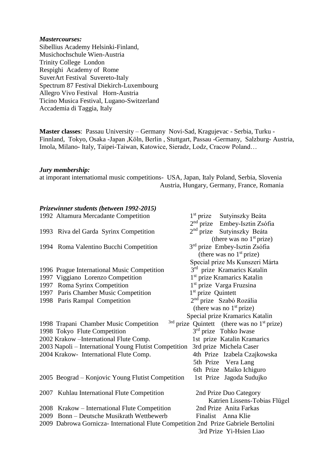#### *Mastercourses:*

Sibellius Academy Helsinki-Finland, Musichochschule Wien-Austria Trinity College London Respighi Academy of Rome SuverArt Festival Suvereto-Italy Spectrum 87 Festival Diekirch-Luxembourg Allegro Vivo Festival Horn-Austria Ticino Musica Festival, Lugano-Switzerland Accademia di Taggia, Italy

**Master classes**: Passau University – Germany Novi-Sad, Kragujevac - Serbia, Turku - Finnland, Tokyo, Osaka -Japan ,Köln, Berlin , Stuttgart, Passau -Germany, Salzburg- Austria, Imola, Milano- Italy, Taipei-Taiwan, Katowice, Sieradz, Lodz, Cracow Poland…

#### *Jury membership:*

at imporant internatiomal music competitions- USA, Japan, Italy Poland, Serbia, Slovenia Austria, Hungary, Germany, France, Romania

#### *Prizewinner students (between 1992-2015)*

|                                                                                                                | 1992 Altamura Mercadante Competition                                                       | $1st$ prize                    | Sutyinszky Beáta                                |  |  |
|----------------------------------------------------------------------------------------------------------------|--------------------------------------------------------------------------------------------|--------------------------------|-------------------------------------------------|--|--|
|                                                                                                                |                                                                                            |                                | 2 <sup>nd</sup> prize Embey-Isztin Zsófia       |  |  |
|                                                                                                                | 1993 Riva del Garda Syrinx Competition                                                     | $2nd$ prize                    | Sutyinszky Beáta                                |  |  |
|                                                                                                                |                                                                                            |                                | (there was no $1st$ prize)                      |  |  |
|                                                                                                                | 1994 Roma Valentino Bucchi Competition                                                     |                                | 3 <sup>rd</sup> prize Embey-Isztin Zsófia       |  |  |
|                                                                                                                |                                                                                            |                                | (there was no $1st$ prize)                      |  |  |
|                                                                                                                |                                                                                            |                                | Special prize Ms Kunszeri Márta                 |  |  |
|                                                                                                                | 1996 Prague International Music Competition                                                |                                | 3rd prize Kramarics Katalin                     |  |  |
|                                                                                                                | 1997 Viggiano Lorenzo Competition                                                          |                                | 1 <sup>st</sup> prize Kramarics Katalin         |  |  |
|                                                                                                                | 1997 Roma Syrinx Competition                                                               |                                | 1 <sup>st</sup> prize Varga Fruzsina            |  |  |
|                                                                                                                | 1997 Paris Chamber Music Competition                                                       | 1 <sup>st</sup> prize Quintett |                                                 |  |  |
|                                                                                                                | 1998 Paris Rampal Competition                                                              |                                | 2 <sup>nd</sup> prize Szabó Rozália             |  |  |
|                                                                                                                |                                                                                            |                                | (there was no $1st$ prize)                      |  |  |
|                                                                                                                |                                                                                            |                                | Special prize Kramarics Katalin                 |  |  |
|                                                                                                                | 1998 Trapani Chamber Music Competition                                                     |                                | $3rd$ prize Quintett (there was no $1st$ prize) |  |  |
|                                                                                                                | 1998 Tokyo Flute Competition                                                               |                                | 3 <sup>rd</sup> prize Tohko Iwase               |  |  |
|                                                                                                                | 2002 Krakow - International Flute Comp.                                                    |                                | 1st prize Katalin Kramarics                     |  |  |
|                                                                                                                | 2003 Napoli – International Young Flutist Competition                                      |                                | 3rd prize Michela Caser                         |  |  |
|                                                                                                                | 2004 Krakow- International Flute Comp.                                                     |                                | 4th Prize Izabela Czajkowska                    |  |  |
|                                                                                                                |                                                                                            |                                | 5th Prize Vera Lang                             |  |  |
|                                                                                                                |                                                                                            |                                | 6th Prize Maiko Ichiguro                        |  |  |
|                                                                                                                | 2005 Beograd – Konjovic Young Flutist Competition                                          |                                | 1st Prize Jagoda Sudujko                        |  |  |
|                                                                                                                |                                                                                            |                                |                                                 |  |  |
|                                                                                                                | 2007 Kuhlau International Flute Competition                                                |                                | 2nd Prize Duo Category                          |  |  |
|                                                                                                                |                                                                                            |                                | Katrien Lissens-Tobias Flügel                   |  |  |
|                                                                                                                | 2008 Krakow – International Flute Competition<br>2009 Bonn - Deutsche Musikrath Wettbewerb |                                | 2nd Prize Anita Farkas                          |  |  |
|                                                                                                                |                                                                                            |                                | Finalist Anna Klie                              |  |  |
| 2009 Dabrowa Gornicza- International Flute Competition 2nd Prize Gabriele Bertolini<br>3rd Prize Yi-Hsien Liao |                                                                                            |                                |                                                 |  |  |
|                                                                                                                |                                                                                            |                                |                                                 |  |  |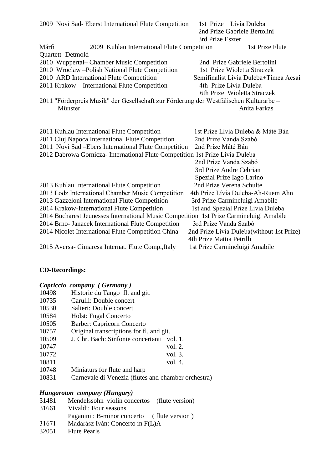| 2009 Novi Sad-Eberst International Flute Competition                                    | 1st Prize Lívia Duleba<br>2nd Prize Gabriele Bertolini<br>3rd Prize Eszter |
|-----------------------------------------------------------------------------------------|----------------------------------------------------------------------------|
| Márfi<br>2009 Kuhlau International Flute Competition                                    | 1st Prize Flute                                                            |
| Quartett-Detmold                                                                        |                                                                            |
| 2010 Wuppertal– Chamber Music Competition                                               | 2nd Prize Gabriele Bertolini                                               |
| 2010 Wroclaw - Polish National Flute Competition                                        | 1st Prize Wioletta Straczek                                                |
| 2010 ARD International Flute Competition                                                | Semifinalist Lívia Duleba+Tímea Acsai                                      |
| 2011 Krakow - International Flute Competition                                           | 4th Prize Lívia Duleba                                                     |
|                                                                                         | 6th Prize Wioletta Straczek                                                |
| 2011 "Förderpreis Musik" der Gesellschaft zur Förderung der Westfälischen Kulturarbe -  |                                                                            |
| Münster                                                                                 | Anita Farkas                                                               |
|                                                                                         |                                                                            |
| 2011 Kuhlau International Flute Competition                                             | 1st Prize Lívia Duleba & Máté Bán                                          |
| 2011 Cluj Napoca International Flute Competition                                        | 2nd Prize Vanda Szabó                                                      |
| 2011 Novi Sad - Ebers International Flute Competition                                   | 2nd Prize Máté Bán                                                         |
| 2012 Dabrowa Gornicza- International Flute Competition 1st Prize Lívia Duleba           |                                                                            |
|                                                                                         | 2nd Prize Vanda Szabó                                                      |
|                                                                                         | 3rd Prize Andre Cebrian                                                    |
|                                                                                         | Spezial Prize Iago Larino                                                  |
| 2013 Kuhlau International Flute Competition                                             | 2nd Prize Verena Schulte                                                   |
| 2013 Lodz International Chamber Music Competition                                       | 4th Prize Lívia Duleba-Ah-Ruem Ahn                                         |
| 2013 Gazzeloni International Flute Competition                                          | 3rd Prize Carmineluigi Amabile                                             |
| 2014 Krakow-International Flute Competition                                             | 1st and Spezial Prize Lívia Duleba                                         |
| 2014 Bucharest Jeunesses International Music Competition 1st Prize Carmineluigi Amabile |                                                                            |
| 2014 Brno- Janacek International Flute Competition                                      | 3rd Prize Vanda Szabó                                                      |
| 2014 Nicolet International Flute Competition China                                      | 2nd Prize Lívia Duleba (without 1st Prize)                                 |
|                                                                                         | 4th Prize Mattia Petrilli                                                  |
| 2015 Aversa-Cimaresa Internat. Flute Comp., Italy                                       | 1st Prize Carmineluigi Amabile                                             |

### **CD-Recordings:**

|  |  | Capriccio company (Germany) |  |
|--|--|-----------------------------|--|
|--|--|-----------------------------|--|

- 10498 Historie du Tango fl. and git.
- 10735 Carulli: Double concert
- 10530 Salieri: Double concert
- 10584 Holst: Fugal Concerto
- 10505 Barber: Capricorn Concerto
- 10757 Original transcriptions for fl. and git.
- 10509 J. Chr. Bach: Sinfonie concertanti vol. 1.
- 10747 vol. 2.
- 10772 vol. 3. 10811 vol. 4.
- 10748 Miniaturs for flute and harp
- 10831 Carnevale di Venezia (flutes and chamber orchestra)

# *Hungaroton company (Hungary)*

- 31481 Mendelssohn violin concertos (flute version)
- 31661 Vivaldi: Four seasons
	- Paganini : B-minor concerto ( flute version )
- 31671 Madarász Iván: Concerto in F(L)A
- 32051 Flute Pearls